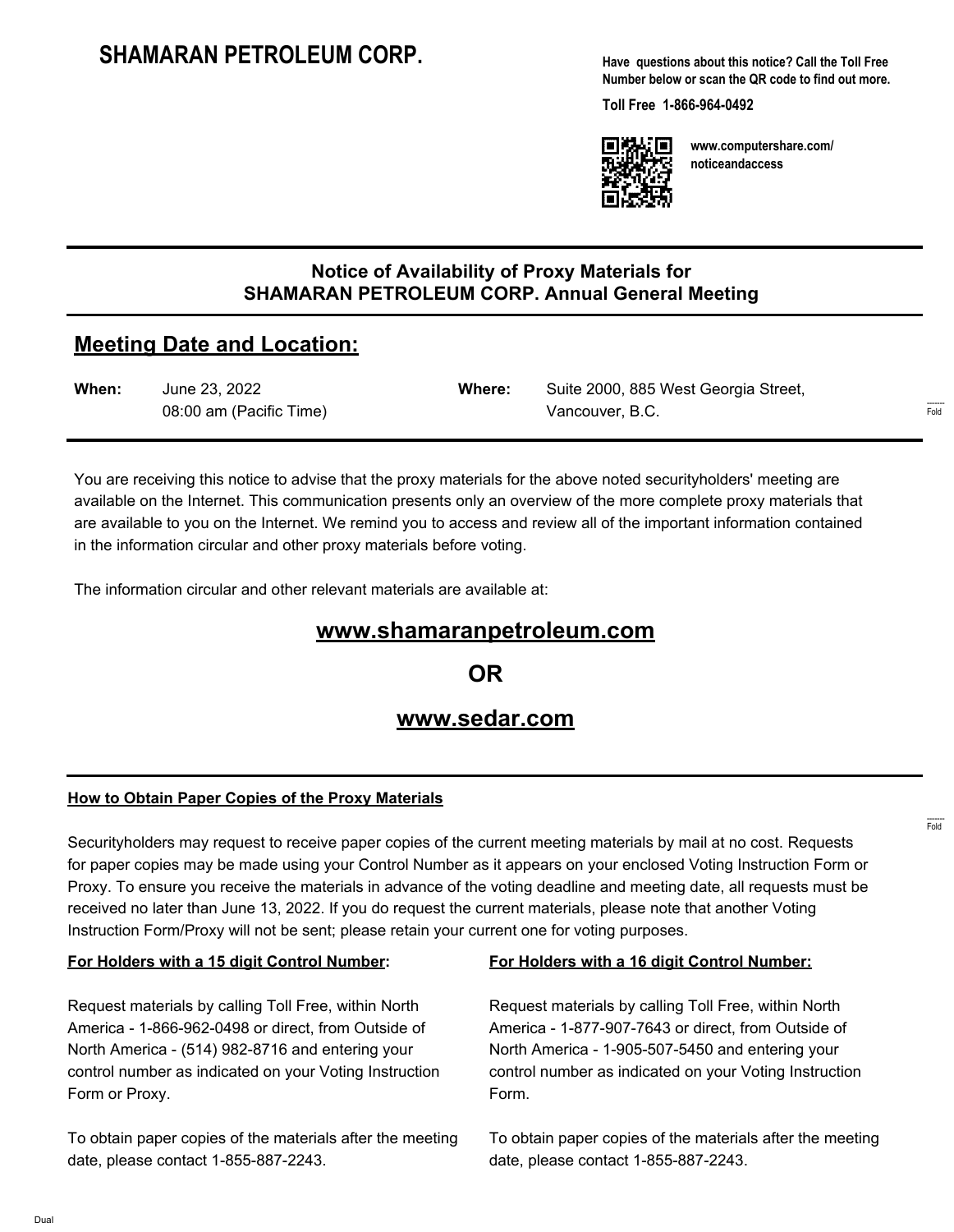**Have questions about this notice? Call the Toll Free Number below or scan the QR code to find out more.**

**Toll Free 1-866-964-0492**



**www.computershare.com/ noticeandaccess**

### **Notice of Availability of Proxy Materials for SHAMARAN PETROLEUM CORP. Annual General Meeting**

## **Meeting Date and Location:**

| When: | June 23, 2022           | Where: | Suite 2000, 885 West Georgia Street, |
|-------|-------------------------|--------|--------------------------------------|
|       | 08:00 am (Pacific Time) |        | Vancouver, B.C.                      |

You are receiving this notice to advise that the proxy materials for the above noted securityholders' meeting are available on the Internet. This communication presents only an overview of the more complete proxy materials that are available to you on the Internet. We remind you to access and review all of the important information contained in the information circular and other proxy materials before voting.

The information circular and other relevant materials are available at:

## **www.shamaranpetroleum.com**

**OR**

## **www.sedar.com**

#### **How to Obtain Paper Copies of the Proxy Materials**

Securityholders may request to receive paper copies of the current meeting materials by mail at no cost. Requests for paper copies may be made using your Control Number as it appears on your enclosed Voting Instruction Form or Proxy. To ensure you receive the materials in advance of the voting deadline and meeting date, all requests must be received no later than June 13, 2022. If you do request the current materials, please note that another Voting Instruction Form/Proxy will not be sent; please retain your current one for voting purposes.

#### **For Holders with a 15 digit Control Number:**

Request materials by calling Toll Free, within North America - 1-866-962-0498 or direct, from Outside of North America - (514) 982-8716 and entering your control number as indicated on your Voting Instruction Form or Proxy.

To obtain paper copies of the materials after the meeting date, please contact 1-855-887-2243.

#### **For Holders with a 16 digit Control Number:**

Request materials by calling Toll Free, within North America - 1-877-907-7643 or direct, from Outside of North America - 1-905-507-5450 and entering your control number as indicated on your Voting Instruction Form.

To obtain paper copies of the materials after the meeting date, please contact 1-855-887-2243.

------- Fold